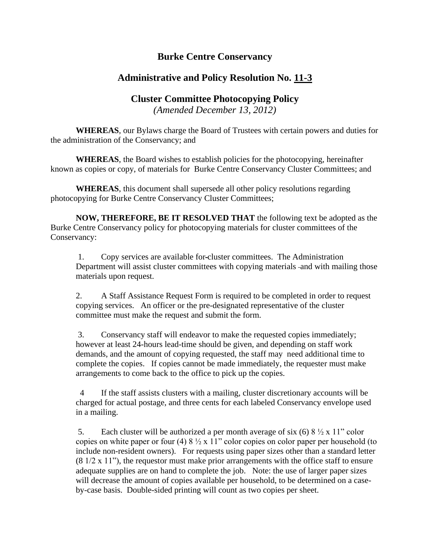## **Burke Centre Conservancy**

## **Administrative and Policy Resolution No. 11-3**

## **Cluster Committee Photocopying Policy**

*(Amended December 13, 2012)*

**WHEREAS**, our Bylaws charge the Board of Trustees with certain powers and duties for the administration of the Conservancy; and

**WHEREAS**, the Board wishes to establish policies for the photocopying, hereinafter known as copies or copy, of materials for Burke Centre Conservancy Cluster Committees; and

**WHEREAS**, this document shall supersede all other policy resolutions regarding photocopying for Burke Centre Conservancy Cluster Committees;

**NOW, THEREFORE, BE IT RESOLVED THAT** the following text be adopted as the Burke Centre Conservancy policy for photocopying materials for cluster committees of the Conservancy:

1. Copy services are available for cluster committees. The Administration Department will assist cluster committees with copying materials - and with mailing those materials upon request.

2. A Staff Assistance Request Form is required to be completed in order to request copying services. An officer or the pre-designated representative of the cluster committee must make the request and submit the form.

3. Conservancy staff will endeavor to make the requested copies immediately; however at least 24-hours lead-time should be given, and depending on staff work demands, and the amount of copying requested, the staff may need additional time to complete the copies. If copies cannot be made immediately, the requester must make arrangements to come back to the office to pick up the copies.

4 If the staff assists clusters with a mailing, cluster discretionary accounts will be charged for actual postage, and three cents for each labeled Conservancy envelope used in a mailing.

5. Each cluster will be authorized a per month average of six (6)  $8\frac{1}{2} \times 11$ " color copies on white paper or four (4)  $8\frac{1}{2}$  x 11" color copies on color paper per household (to include non-resident owners). For requests using paper sizes other than a standard letter  $(8\frac{1}{2} \times 11)$ , the requestor must make prior arrangements with the office staff to ensure adequate supplies are on hand to complete the job. Note: the use of larger paper sizes will decrease the amount of copies available per household, to be determined on a caseby-case basis. Double-sided printing will count as two copies per sheet.